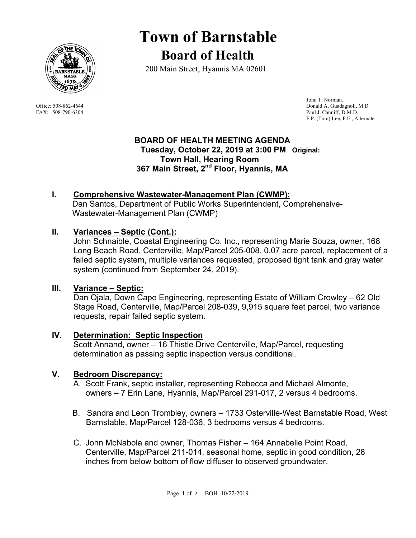

# **Town of Barnstable Board of Health**

200 Main Street, Hyannis MA 02601

 John T. Norman. Office: 508-862-4644 Donald A. Guadagnoli, M.D FAX: 508-790-6304 Paul J. Canniff, D.M.D. F.P. (Tom) Lee, P.E., Alternate

#### **BOARD OF HEALTH MEETING AGENDA Tuesday, October 22, 2019 at 3:00 PM Original: Town Hall, Hearing Room 367 Main Street, 2nd Floor, Hyannis, MA**

# **I. Comprehensive Wastewater-Management Plan (CWMP):**

Dan Santos, Department of Public Works Superintendent, Comprehensive-Wastewater-Management Plan (CWMP)

#### **II. Variances – Septic (Cont.):**

John Schnaible, Coastal Engineering Co. Inc., representing Marie Souza, owner, 168 Long Beach Road, Centerville, Map/Parcel 205-008, 0.07 acre parcel, replacement of a failed septic system, multiple variances requested, proposed tight tank and gray water system (continued from September 24, 2019).

#### **III. Variance – Septic:**

Dan Ojala, Down Cape Engineering, representing Estate of William Crowley – 62 Old Stage Road, Centerville, Map/Parcel 208-039, 9,915 square feet parcel, two variance requests, repair failed septic system.

#### **IV. Determination: Septic Inspection**

Scott Annand, owner – 16 Thistle Drive Centerville, Map/Parcel, requesting determination as passing septic inspection versus conditional.

#### **V. Bedroom Discrepancy:**

- A. Scott Frank, septic installer, representing Rebecca and Michael Almonte, owners – 7 Erin Lane, Hyannis, Map/Parcel 291-017, 2 versus 4 bedrooms.
- B. Sandra and Leon Trombley, owners 1733 Osterville-West Barnstable Road, West Barnstable, Map/Parcel 128-036, 3 bedrooms versus 4 bedrooms.
- C. John McNabola and owner, Thomas Fisher 164 Annabelle Point Road, Centerville, Map/Parcel 211-014, seasonal home, septic in good condition, 28 inches from below bottom of flow diffuser to observed groundwater.